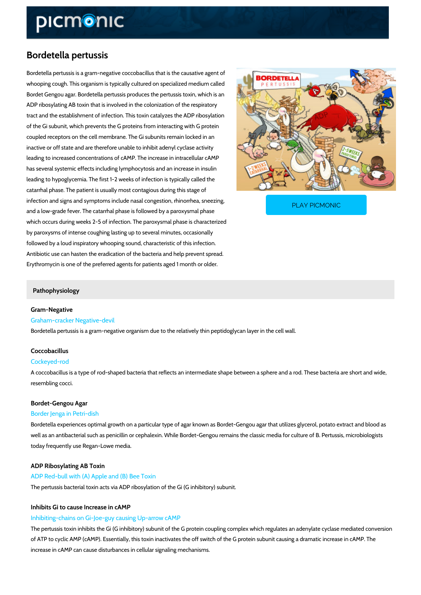# Bordetella pertussis

Bordetella pertussis is a gram-negative coccobacillus that is the causative agent of whooping cough. This organism is typically cultured on specialized medium called Bordet Gengou agar. Bordetella pertussis produces the pertussis toxin, which is an ADP ribosylating AB toxin that is involved in the colonization of the respiratory tract and the establishment of infection. This toxin catalyzes the ADP ribosylation of the Gi subunit, which prevents the G proteins from interacting with G protein coupled receptors on the cell membrane. The Gi subunits remain locked in an inactive or off state and are therefore unable to inhibit adenyl cyclase activity leading to increased concentrations of cAMP. The increase in intracellular cAMP has several systemic effects including lymphocytosis and an increase in insulin leading to hypoglycemia. The first 1-2 weeks of infection is typically called the catarrhal phase. The patient is usually most contagious during this stage of

infection and signs and symptoms include nasal congestio and a low-grade fever. The catarrhal phase is followed by

PLAY PICMONIC

which occurs during weeks 2-5 of infection. The paroxysmal phase is characterized by paroxysms of intense coughing lasting up to several minutes, occasionally followed by a loud inspiratory whooping sound, characteristic of this infection. Antibiotic use can hasten the eradication of the bacteria and help prevent spread. Erythromycin is one of the preferred agents for patients aged 1 month or older.

#### Pathophysiology

Gram-Negative Graham-cracker Negative-devil Bordetella pertussis is a gram-negative organism due to the relatively thin peptidoglycan laye

## Coccobacillus

#### Cockeyed-rod

A coccobacillus is a type of rod-shaped bacteria that reflects an intermediate shape between resembling cocci.

## Bordet-Gengou Agar

### Border Jenga in Petri-dish

Bordetella experiences optimal growth on a particular type of agar known as Bordet-Gengou a well as an antibacterial such as penicillin or cephalexin. While Bordet-Gengou remains the cla today frequently use Regan-Lowe media.

#### ADP Ribosylating AB Toxin

#### ADP Red-bull with (A) Apple and (B) Bee Toxin

The pertussis bacterial toxin acts via ADP ribosylation of the Gi (G inhibitory) subunit.

#### Inhibits Gi to cause Increase in cAMP

#### Inhibiting-chains on Gi-Joe-guy causing Up-arrow cAMP

The pertussis toxin inhibits the Gi (G inhibitory) subunit of the G protein coupling complex wh of ATP to cyclic AMP (cAMP). Essentially, this toxin inactivates the off switch of the G protei increase in cAMP can cause disturbances in cellular signaling mechanisms.